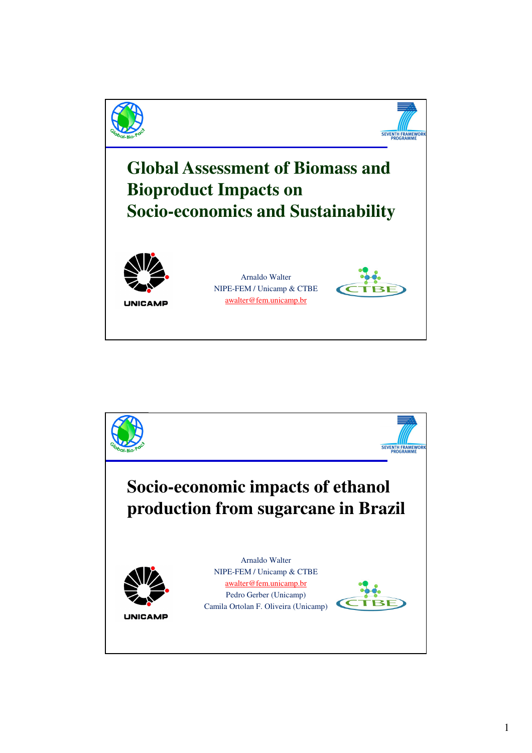

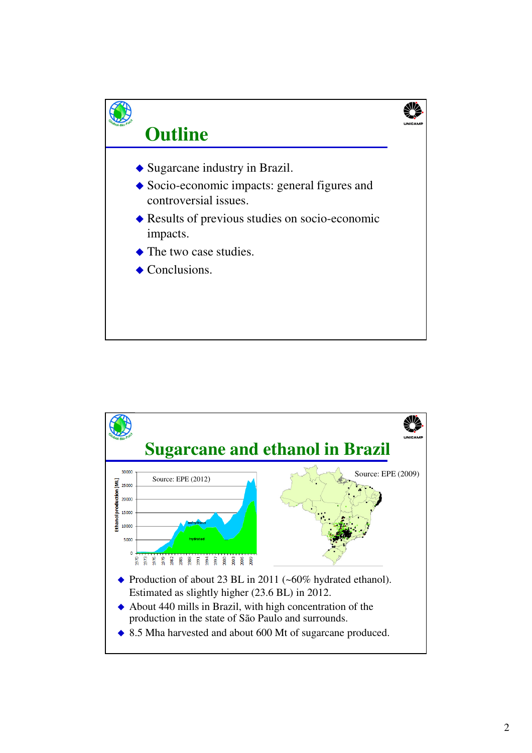

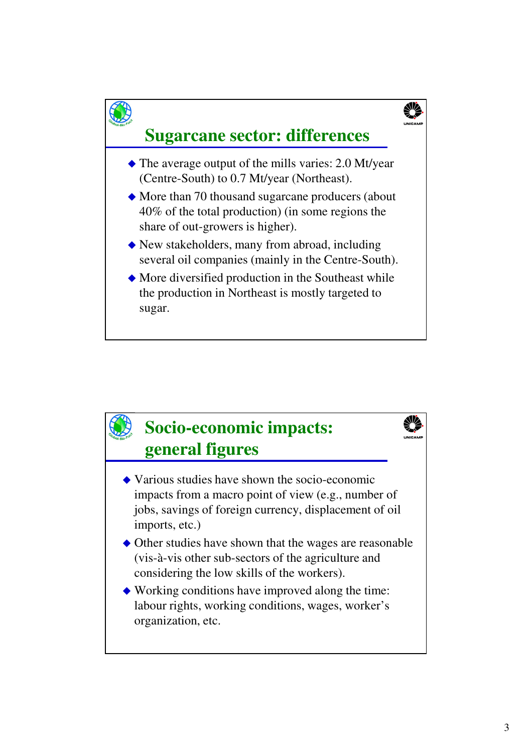

# **Sugarcane sector: differences**

- The average output of the mills varies: 2.0 Mt/year (Centre-South) to 0.7 Mt/year (Northeast).
- More than 70 thousand sugarcane producers (about 40% of the total production) (in some regions the share of out-growers is higher).
- New stakeholders, many from abroad, including several oil companies (mainly in the Centre-South).
- More diversified production in the Southeast while the production in Northeast is mostly targeted to sugar.

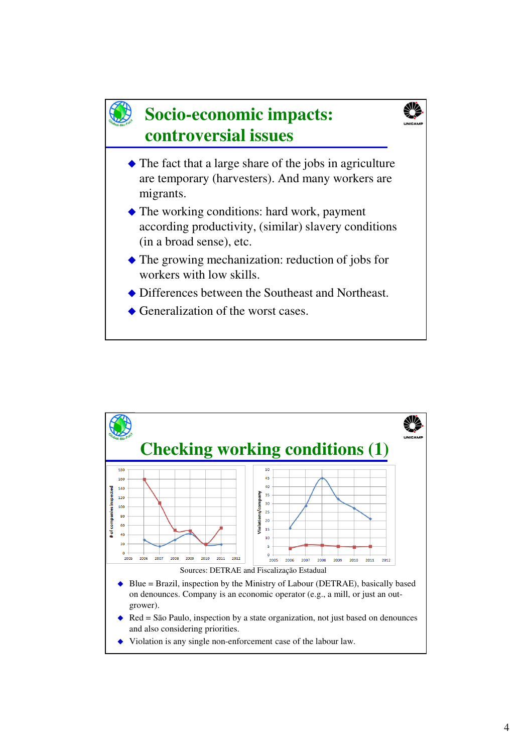# **Socio-economic impacts: controversial issues**



- The fact that a large share of the jobs in agriculture are temporary (harvesters). And many workers are migrants.
- The working conditions: hard work, payment according productivity, (similar) slavery conditions (in a broad sense), etc.
- The growing mechanization: reduction of jobs for workers with low skills.
- Differences between the Southeast and Northeast.
- ◆ Generalization of the worst cases.

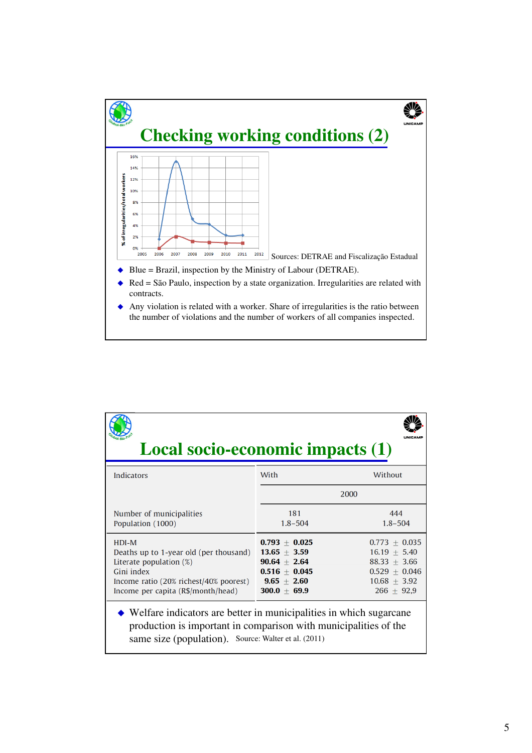

| <b>Local socio-economic impacts (1)</b>                                                                                                                                                                        |                                                                                                                 |                                                                                                            |
|----------------------------------------------------------------------------------------------------------------------------------------------------------------------------------------------------------------|-----------------------------------------------------------------------------------------------------------------|------------------------------------------------------------------------------------------------------------|
| Indicators                                                                                                                                                                                                     | With                                                                                                            | Without                                                                                                    |
|                                                                                                                                                                                                                |                                                                                                                 | 2000                                                                                                       |
| Number of municipalities<br>Population (1000)                                                                                                                                                                  | 181<br>$1.8 - 504$                                                                                              | 444<br>$1.8 - 504$                                                                                         |
| $HDI-M$<br>Deaths up to 1-year old (per thousand)<br>Literate population $(\%)$<br>Gini index<br>Income ratio (20% richest/40% poorest)<br>Income per capita (R\$/month/head)                                  | $0.793 \pm 0.025$<br>$13.65 \pm 3.59$<br>$90.64 \pm 2.64$<br>$0.516 + 0.045$<br>$9.65 + 2.60$<br>$300.0 + 69.9$ | $0.773 + 0.035$<br>$16.19 + 5.40$<br>$88.33 + 3.66$<br>$0.529 + 0.046$<br>$10.68 \pm 3.92$<br>$266 + 92.9$ |
| $\blacklozenge$ Welfare indicators are better in municipalities in which sugarcane<br>production is important in comparison with municipalities of the<br>same size (population). Source: Walter et al. (2011) |                                                                                                                 |                                                                                                            |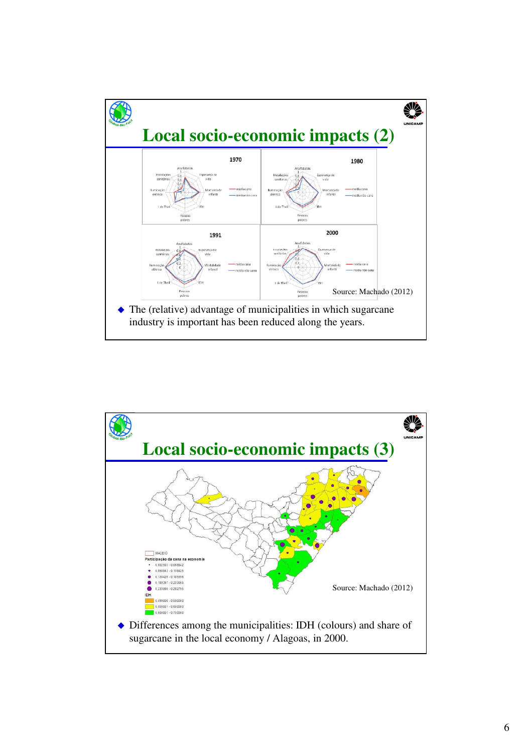

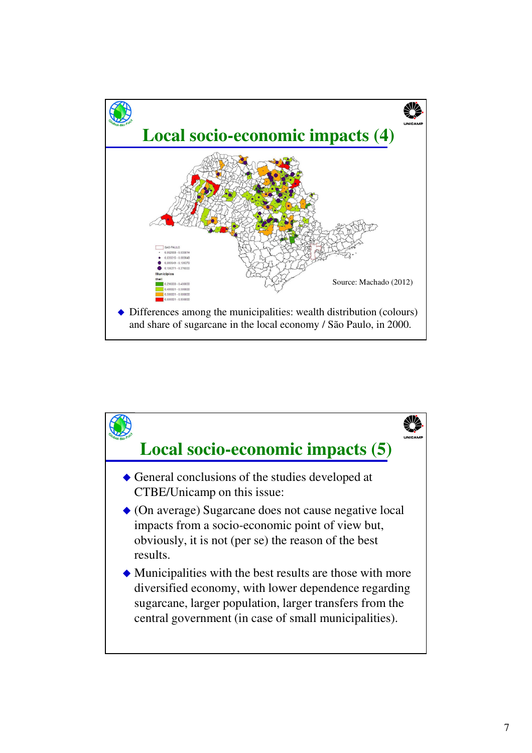

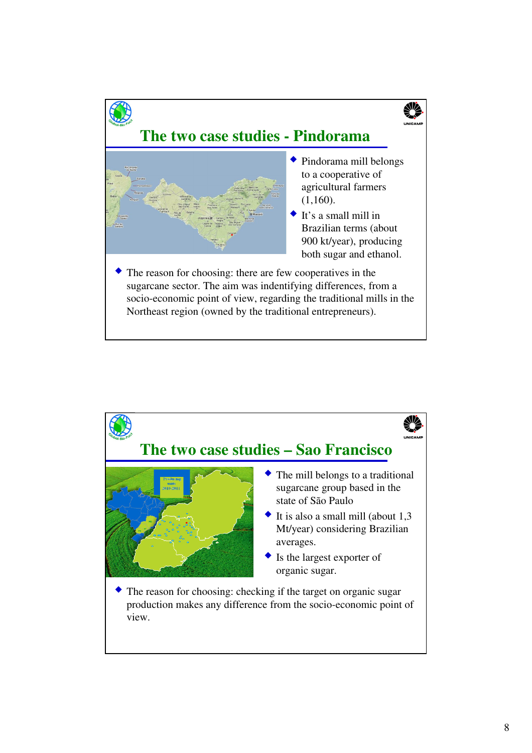

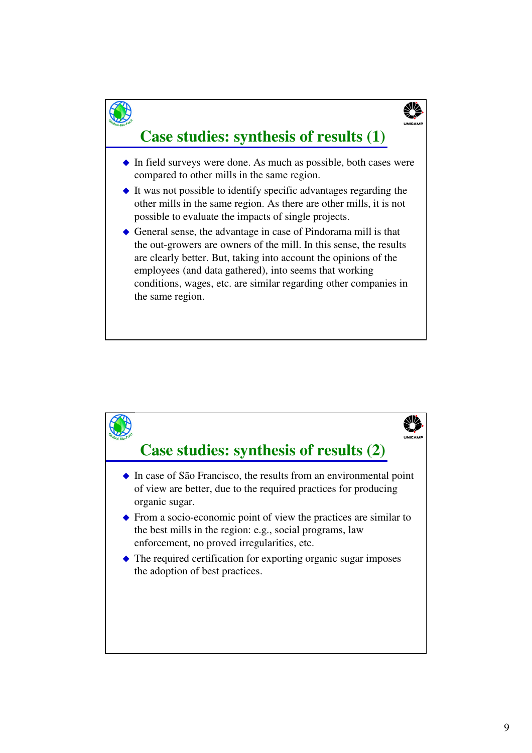### **Case studies: synthesis of results (1)**

- $\bullet$  In field surveys were done. As much as possible, both cases were compared to other mills in the same region.
- $\bullet$  It was not possible to identify specific advantages regarding the other mills in the same region. As there are other mills, it is not possible to evaluate the impacts of single projects.
- General sense, the advantage in case of Pindorama mill is that the out-growers are owners of the mill. In this sense, the results are clearly better. But, taking into account the opinions of the employees (and data gathered), into seems that working conditions, wages, etc. are similar regarding other companies in the same region.